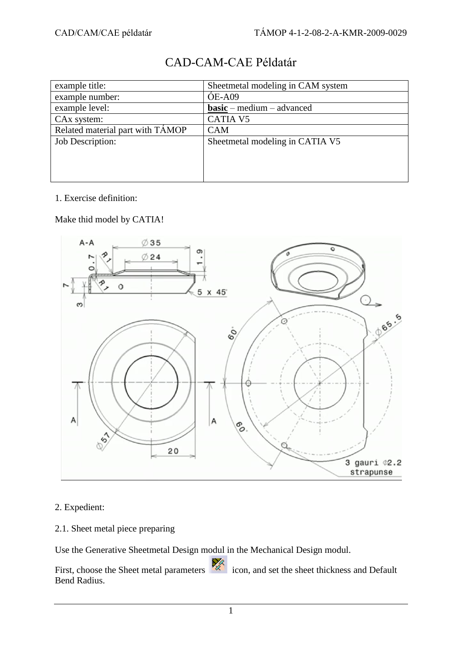| example title:                   | Sheetmetal modeling in CAM system |
|----------------------------------|-----------------------------------|
| example number:                  | $OE-AO9$                          |
| example level:                   | $basic – medium – advanced$       |
| CAx system:                      | <b>CATIA V5</b>                   |
| Related material part with TAMOP | <b>CAM</b>                        |
| Job Description:                 | Sheetmetal modeling in CATIA V5   |
|                                  |                                   |
|                                  |                                   |
|                                  |                                   |

# CAD-CAM-CAE Példatár

#### 1. Exercise definition:

Make thid model by CATIA!



#### 2. Expedient:

2.1. Sheet metal piece preparing

Use the Generative Sheetmetal Design modul in the Mechanical Design modul.

First, choose the Sheet metal parameters icon, and set the sheet thickness and Default Bend Radius.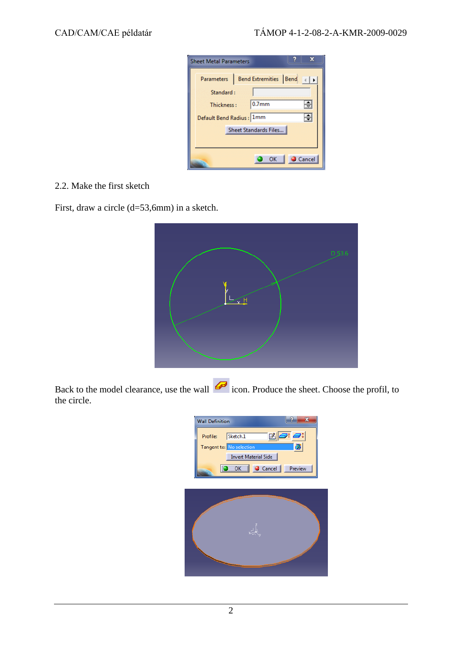| x<br><b>Sheet Metal Parameters</b> |                                      |  |                         |
|------------------------------------|--------------------------------------|--|-------------------------|
|                                    | Parameters   Bend Extremities   Bend |  |                         |
| Standard:                          |                                      |  |                         |
| Thickness:                         | $ 0.7$ <sub>mm</sub>                 |  | ÷                       |
| Default Bend Radius : 1mm          |                                      |  | $\overline{\mathbf{F}}$ |
|                                    | Sheet Standards Files                |  |                         |
|                                    |                                      |  |                         |
|                                    | OK                                   |  | Cancel                  |

#### 2.2. Make the first sketch

First, draw a circle (d=53,6mm) in a sketch.



Back to the model clearance, use the wall  $\overline{\mathcal{L}}$  icon. Produce the sheet. Choose the profil, to the circle.

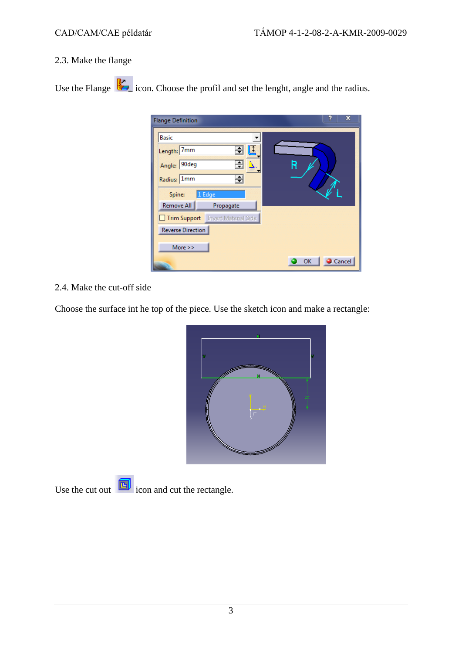#### 2.3. Make the flange

Use the Flange  $\mathbb{R}$  icon. Choose the profil and set the lenght, angle and the radius.

| <b>Flange Definition</b>          | ×<br>Ĥ       |
|-----------------------------------|--------------|
| <b>Basic</b>                      |              |
| 즥<br>Length: 7mm                  |              |
| ÷<br>Angle: 90deg<br>Δ.           | R            |
| ÷<br>Radius: 1mm                  |              |
| 1 Edge<br>Spine:                  |              |
| Remove All<br>Propagate           |              |
| Trim Support Invert Material Side |              |
| <b>Reverse Direction</b>          |              |
| More $>>$                         |              |
|                                   | Cancel<br>OK |

### 2.4. Make the cut-off side

Choose the surface int he top of the piece. Use the sketch icon and make a rectangle:



Use the cut out  $\boxed{\Box}$  icon and cut the rectangle.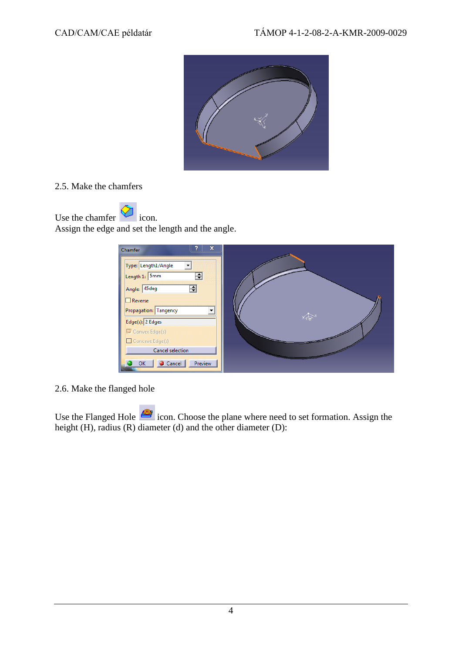

#### 2.5. Make the chamfers

Use the chamfer  $\bigotimes$  icon. Assign the edge and set the length and the angle.

| x<br>Chamfer                                                                                                           |    |
|------------------------------------------------------------------------------------------------------------------------|----|
| $\ddot{}$<br>Type: Length1/Angle<br>Length 1: 5mm<br>÷<br>킄<br>Angle: 45deg<br>$\Box$ Reverse<br>Propagation: Tangency | 不可 |
| Edge(s): 2 Edges                                                                                                       |    |
| Convex Edge(s)                                                                                                         |    |
| Concave Edge(s)                                                                                                        |    |
| Cancel selection                                                                                                       |    |
| Cancel<br>Preview<br>OK                                                                                                |    |

2.6. Make the flanged hole

Use the Flanged Hole icon. Choose the plane where need to set formation. Assign the height (H), radius (R) diameter (d) and the other diameter (D):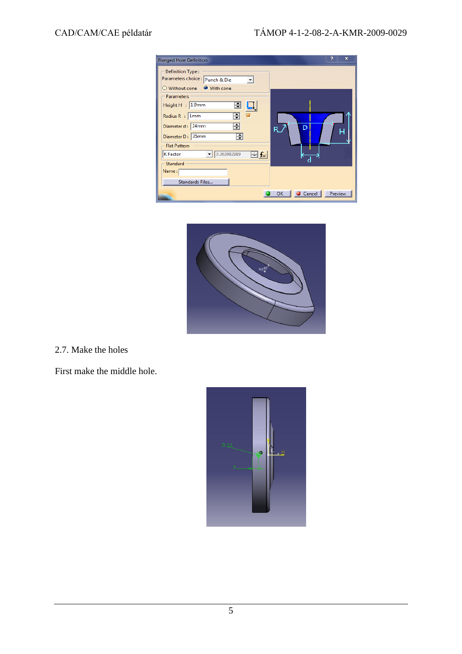| <b>Flanged Hole Definition</b>                                                    | ×                                                    |
|-----------------------------------------------------------------------------------|------------------------------------------------------|
| Definition Type:<br>Parameters choice : Punch & Die<br>○ Without cone ● With cone |                                                      |
| - Parameters<br>Height H : 1.9mm<br>⊟<br>÷<br>Radius R : 1mm                      |                                                      |
| ÷<br>Diameter d: 24mm<br>Diameter D: 35mm<br>÷                                    | D<br>R.<br>н                                         |
| <b>Flat Pattern</b><br>0.363982989<br>$\equiv$ fx)<br><b>K</b> Factor<br>Standard |                                                      |
| Name:<br>Standards Files                                                          |                                                      |
|                                                                                   | $\bullet$ Cancel $\parallel$<br>Preview<br><b>OK</b> |



2.7. Make the holes

First make the middle hole.

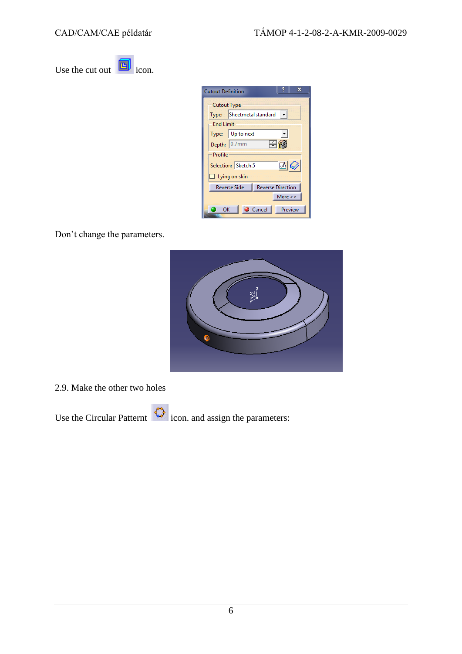Use the cut out  $\boxed{1}$  icon.

| x<br><b>Cutout Definition</b>                   |                           |
|-------------------------------------------------|---------------------------|
| <b>Cutout Type</b>                              |                           |
| Type:                                           | Sheetmetal standard<br>┯╎ |
| Fnd Limit                                       |                           |
| Type:                                           | Up to next                |
|                                                 | Depth: 0.7mm              |
| - Profile                                       |                           |
| $\mathbb{Z}$<br>Selection: Sketch.5             |                           |
| $\Box$ Lying on skin                            |                           |
| <b>Reverse Direction</b><br><b>Reverse Side</b> |                           |
| More $>>$                                       |                           |
| ОΚ                                              | Preview<br>Cancel         |

Don't change the parameters.



2.9. Make the other two holes

Use the Circular Patternt  $\bigcirc$  icon. and assign the parameters: